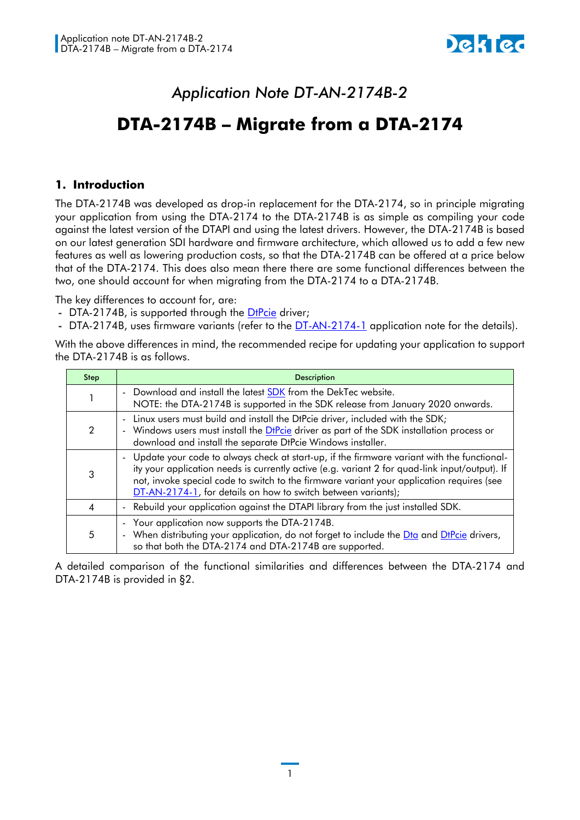## *Application Note DT-AN-2174B-2*

## **DTA-2174B – Migrate from a DTA-2174**

## **1. Introduction**

The DTA-2174B was developed as drop-in replacement for the DTA-2174, so in principle migrating your application from using the DTA-2174 to the DTA-2174B is as simple as compiling your code against the latest version of the DTAPI and using the latest drivers. However, the DTA-2174B is based on our latest generation SDI hardware and firmware architecture, which allowed us to add a few new features as well as lowering production costs, so that the DTA-2174B can be offered at a price below that of the DTA-2174. This does also mean there there are some functional differences between the two, one should account for when migrating from the DTA-2174 to a DTA-2174B.

The key differences to account for, are:

- DTA-2174B, is supported through the [DtPcie](https://www.dektec.com/downloads/SDK/) driver;
- DTA-2174B, uses firmware variants (refer to the [DT-AN-2174-1](DT-AN-2174B-2%20-%20Migration%20from%20a%20DTA-2174.docx) application note for the details).

With the above differences in mind, the recommended recipe for updating your application to support the DTA-2174B is as follows.

| Step | <b>Description</b>                                                                                                                                                                                                                                                                                                                                           |  |
|------|--------------------------------------------------------------------------------------------------------------------------------------------------------------------------------------------------------------------------------------------------------------------------------------------------------------------------------------------------------------|--|
|      | - Download and install the latest <b>SDK</b> from the DekTec website.<br>NOTE: the DTA-2174B is supported in the SDK release from January 2020 onwards.                                                                                                                                                                                                      |  |
|      | - Linux users must build and install the DtPcie driver, included with the SDK;<br>- Windows users must install the DtPcie driver as part of the SDK installation process or<br>download and install the separate DtPcie Windows installer.                                                                                                                   |  |
|      | - Update your code to always check at start-up, if the firmware variant with the functional-<br>ity your application needs is currently active (e.g. variant 2 for quad-link input/output). If<br>not, invoke special code to switch to the firmware variant your application requires (see<br>DT-AN-2174-1, for details on how to switch between variants); |  |
| 4    | - Rebuild your application against the DTAPI library from the just installed SDK.                                                                                                                                                                                                                                                                            |  |
| 5    | - Your application now supports the DTA-2174B.<br>- When distributing your application, do not forget to include the Dta and DtPcie drivers,<br>so that both the DTA-2174 and DTA-2174B are supported.                                                                                                                                                       |  |

A detailed comparison of the functional similarities and differences between the DTA-2174 and DTA-2174B is provided in [§2.](#page-1-0)